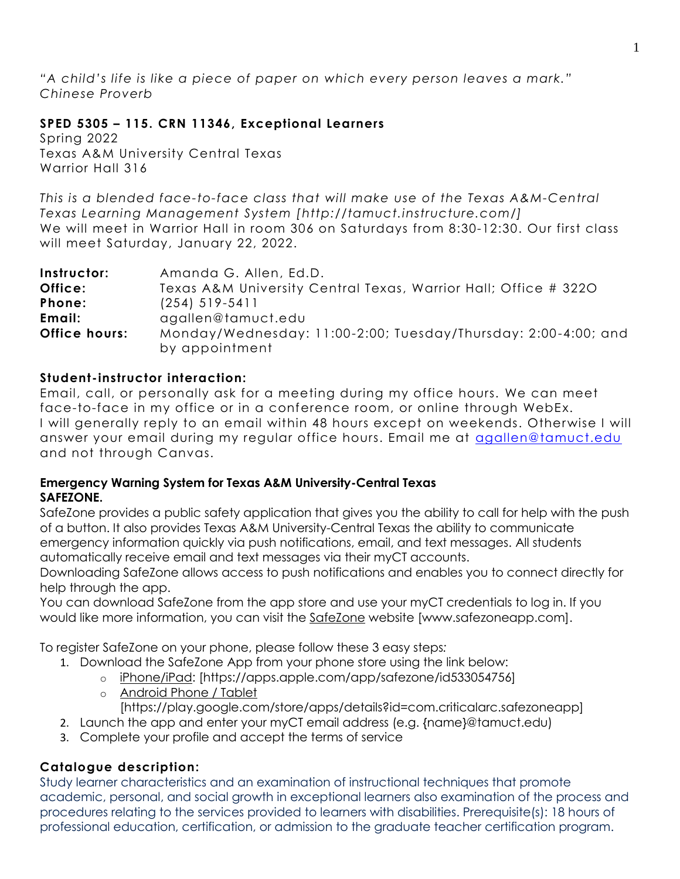*"A child's life is like a piece of paper on which every person leaves a mark." Chinese Proverb*

# **SPED 5305 – 115. CRN 11346, Exceptional Learners**

Spring 2022 Texas A&M University Central Texas Warrior Hall 316

*This is a blended face-to-face class that will make use of the Texas A&M-Central Texas Learning Management System [http://tamuct.instructure.com/]* We will meet in Warrior Hall in room 306 on Saturdays from 8:30-12:30. Our first class will meet Saturday, January 22, 2022.

| Instructor:   | Amanda G. Allen, Ed.D.                                                           |  |  |
|---------------|----------------------------------------------------------------------------------|--|--|
| Office:       | Texas A&M University Central Texas, Warrior Hall; Office # 3220                  |  |  |
| Phone:        | $(254)$ 519-5411                                                                 |  |  |
| Email:        | agallen@tamuct.edu                                                               |  |  |
| Office hours: | Monday/Wednesday: 11:00-2:00; Tuesday/Thursday: 2:00-4:00; and<br>by appointment |  |  |

# **Student-instructor interaction:**

Email, call, or personally ask for a meeting during my office hours. We can meet face-to-face in my office or in a conference room, or online through WebEx. I will generally reply to an email within 48 hours except on weekends. Otherwise I will answer your email during my regular office hours. Email me at [agallen@tamuct.edu](mailto:agallen@tamuct.edu) and not through Canvas.

# **Emergency Warning System for Texas A&M University-Central Texas SAFEZONE.**

SafeZone provides a public safety application that gives you the ability to call for help with the push of a button. It also provides Texas A&M University-Central Texas the ability to communicate emergency information quickly via push notifications, email, and text messages. All students automatically receive email and text messages via their myCT accounts.

Downloading SafeZone allows access to push notifications and enables you to connect directly for help through the app.

You can download SafeZone from the app store and use your myCT credentials to log in. If you would like more information, you can visit the [SafeZone](http://www.safezoneapp.com/) website [www.safezoneapp.com].

To register SafeZone on your phone, please follow these 3 easy steps*:*

- 1. Download the SafeZone App from your phone store using the link below:
	- o [iPhone/iPad:](https://apps.apple.com/app/safezone/id533054756) [https://apps.apple.com/app/safezone/id533054756]
	- o [Android Phone / Tablet](https://play.google.com/store/apps/details?id=com.criticalarc.safezoneapp) [https://play.google.com/store/apps/details?id=com.criticalarc.safezoneapp]
- 2. Launch the app and enter your myCT email address (e.g. {name}@tamuct.edu)
- 3. Complete your profile and accept the terms of service

# **Catalogue description:**

Study learner characteristics and an examination of instructional techniques that promote academic, personal, and social growth in exceptional learners also examination of the process and procedures relating to the services provided to learners with disabilities. Prerequisite(s): 18 hours of professional education, certification, or admission to the graduate teacher certification program.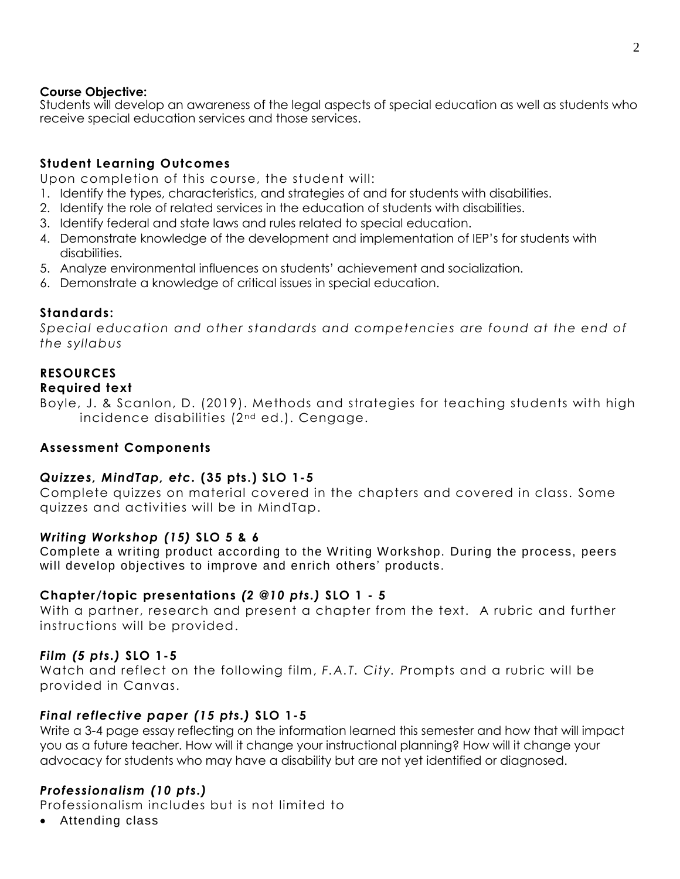### **Course Objective:**

Students will develop an awareness of the legal aspects of special education as well as students who receive special education services and those services.

# **Student Learning Outcomes**

Upon completion of this course, the student will:

- 1. Identify the types, characteristics, and strategies of and for students with disabilities.
- 2. Identify the role of related services in the education of students with disabilities.
- 3. Identify federal and state laws and rules related to special education.
- 4. Demonstrate knowledge of the development and implementation of IEP's for students with disabilities.
- 5. Analyze environmental influences on students' achievement and socialization.
- 6. Demonstrate a knowledge of critical issues in special education.

# **Standards:**

*Special education and other standards and competencies are found at the end of the syllabus*

# **RESOURCES**

#### **Required text**

Boyle, J. & Scanlon, D. (2019). Methods and strategies for teaching students with high incidence disabilities (2<sup>nd</sup> ed.). Cengage.

# **Assessment Components**

# *Quizzes, MindTap, etc.* **(35 pts.) SLO 1-5**

Complete quizzes on material covered in the chapters and covered in class. Some quizzes and activities will be in MindTap.

# *Writing Workshop (15)* **SLO 5 & 6**

Complete a writing product according to the Writing Workshop. During the process, peers will develop objectives to improve and enrich others' products.

# **Chapter/topic presentations** *(2 @10 pts.)* **SLO 1 - 5**

With a partner, research and present a chapter from the text. A rubric and further instructions will be provided.

#### *Film (5 pts.)* **SLO 1-5**

Watch and reflect on the following film, *F.A.T. City. P*rompts and a rubric will be provided in Canvas.

# *Final reflective paper (15 pts.)* **SLO 1-5**

Write a 3-4 page essay reflecting on the information learned this semester and how that will impact you as a future teacher. How will it change your instructional planning? How will it change your advocacy for students who may have a disability but are not yet identified or diagnosed.

# *Professionalism (10 pts.)*

Professionalism includes but is not limited to

Attending class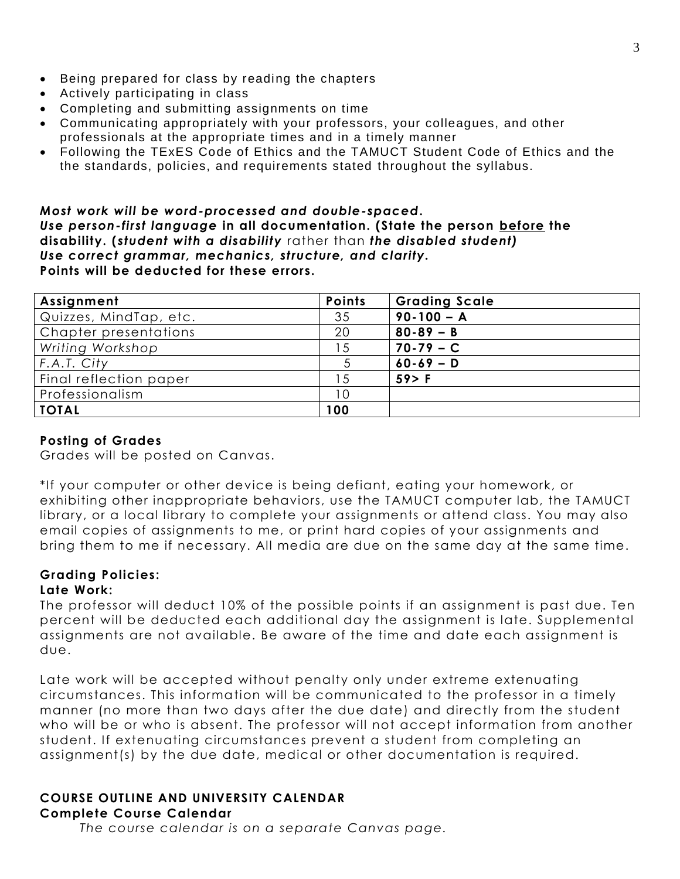- Being prepared for class by reading the chapters
- Actively participating in class
- Completing and submitting assignments on time
- Communicating appropriately with your professors, your colleagues, and other professionals at the appropriate times and in a timely manner
- Following the TExES Code of Ethics and the TAMUCT Student Code of Ethics and the the standards, policies, and requirements stated throughout the syllabus.

*Most work will be word-processed and double-spaced***.** *Use person-first language* **in all documentation. (State the person before the disability. (** *student with a disability* rather than *the disabled student) Use correct grammar, mechanics, structure, and clarity.* **Points will be deducted for these errors.** 

| Assignment             | <b>Points</b> | <b>Grading Scale</b> |
|------------------------|---------------|----------------------|
| Quizzes, MindTap, etc. | 35            | $90 - 100 - A$       |
| Chapter presentations  | 20            | $80 - 89 - B$        |
| Writing Workshop       | 15            | $70-79 - C$          |
| F.A.T. City            |               | $60 - 69 - D$        |
| Final reflection paper | 5             | $59$ F               |
| Professionalism        | 10            |                      |
| <b>TOTAL</b>           | 100           |                      |

### **Posting of Grades**

Grades will be posted on Canvas.

\*If your computer or other device is being defiant, eating your homework, or exhibiting other inappropriate behaviors, use the TAMUCT computer lab, the TAMUCT library, or a local library to complete your assignments or attend class. You may also email copies of assignments to me, or print hard copies of your assignments and bring them to me if necessary. All media are due on the same day at the same time.

# **Grading Policies:**

#### **Late Work:**

The professor will deduct 10% of the possible points if an assignment is past due. Ten percent will be deducted each additional day the assignment is late. Supplemental assignments are not available. Be aware of the time and date each assignment is due.

Late work will be accepted without penalty only under extreme extenuating circumstances. This information will be communicated to the professor in a timely manner (no more than two days after the due date) and directly from the student who will be or who is absent. The professor will not accept information from another student. If extenuating circumstances prevent a student from completing an assignment(s) by the due date, medical or other documentation is required.

#### **COURSE OUTLINE AND UNIVERSITY CALENDAR Complete Course Calendar**

*The course calendar is on a separate Canvas page.*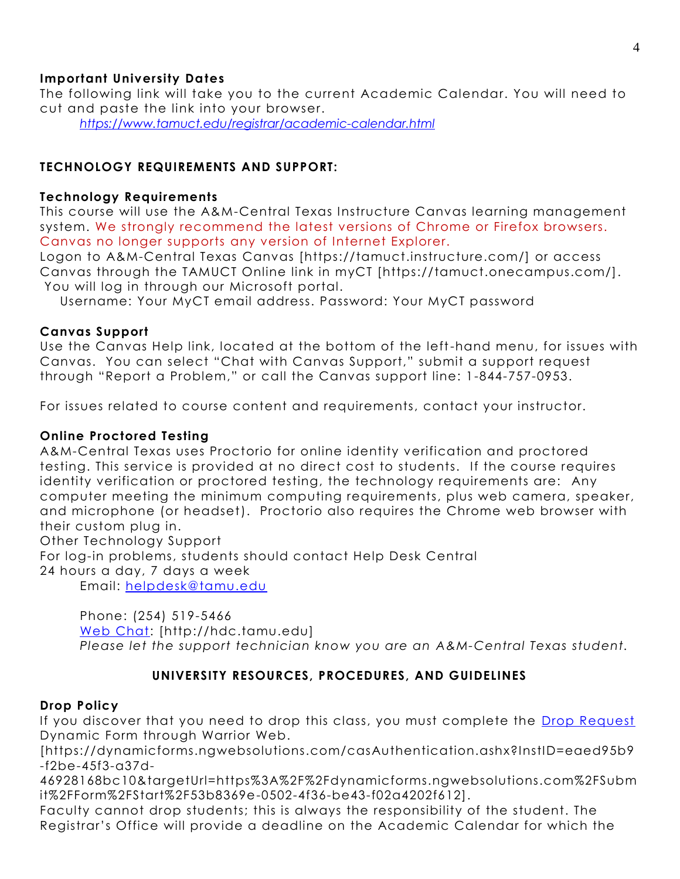# **Important University Dates**

The following link will take you to the current Academic Calendar. You will need to cut and paste the link into your browser.

*<https://www.tamuct.edu/registrar/academic-calendar.html>*

# **TECHNOLOGY REQUIREMENTS AND SUPPORT:**

### **Technology Requirements**

This course will use the A&M-Central Texas Instructure Canvas learning management system. We strongly recommend the latest versions of Chrome or Firefox browsers. Canvas no longer supports any version of Internet Explorer.

Logon to A&M-Central Texas Canvas [https://tamuct.instructure.com/] or access Canvas through the TAMUCT Online link in myCT [https://tamuct.onecampus.com/]. You will log in through our Microsoft portal.

Username: Your MyCT email address. Password: Your MyCT password

# **Canvas Support**

Use the Canvas Help link, located at the bottom of the left-hand menu, for issues with Canvas. You can select "Chat with Canvas Support," submit a support request through "Report a Problem," or call the Canvas support line: 1-844-757-0953.

For issues related to course content and requirements, contact your instructor.

### **Online Proctored Testing**

A&M-Central Texas uses Proctorio for online identity verification and proctored testing. This service is provided at no direct cost to students. If the course requires identity verification or proctored testing, the technology requirements are: Any computer meeting the minimum computing requirements, plus web camera, speaker, and microphone (or headset). Proctorio also requires the Chrome web browser with their custom plug in.

Other Technology Support

For log-in problems, students should contact Help Desk Central

24 hours a day, 7 days a week

Email: [helpdesk@tamu.edu](mailto:helpdesk@tamu.edu)

Phone: (254) 519-5466 [Web Chat:](http://hdc.tamu.edu/) [http://hdc.tamu.edu] *Please let the support technician know you are an A&M-Central Texas student.*

# **UNIVERSITY RESOURCES, PROCEDURES, AND GUIDELINES**

# **Drop Policy**

If you discover that you need to drop this class, you must complete the [Drop Request](https://dynamicforms.ngwebsolutions.com/casAuthentication.ashx?InstID=eaed95b9-f2be-45f3-a37d-46928168bc10&targetUrl=https%3A%2F%2Fdynamicforms.ngwebsolutions.com%2FSubmit%2FForm%2FStart%2F53b8369e-0502-4f36-be43-f02a4202f612) Dynamic Form through Warrior Web.

[https://dynamicforms.ngwebsolutions.com/casAuthentication.ashx?InstID=eaed95b9 -f2be-45f3-a37d-

46928168bc10&targetUrl=https%3A%2F%2Fdynamicforms.ngwebsolutions.com%2FSubm it%2FForm%2FStart%2F53b8369e-0502-4f36-be43-f02a4202f612].

Faculty cannot drop students; this is always the responsibility of the student. The Registrar's Office will provide a deadline on the Academic Calendar for which the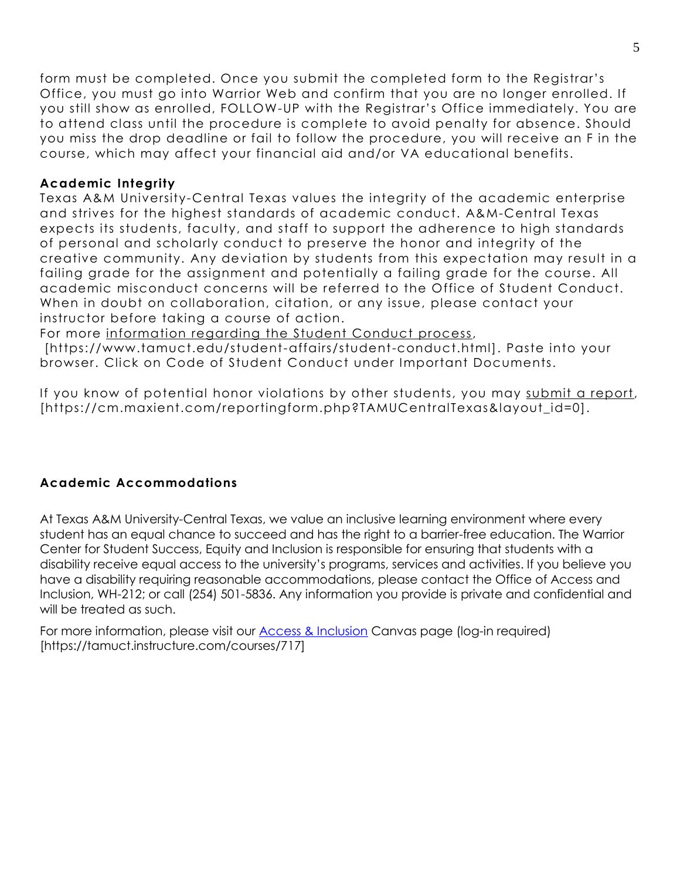form must be completed. Once you submit the completed form to the Registrar's Office, you must go into Warrior Web and confirm that you are no longer enrolled. If you still show as enrolled, FOLLOW-UP with the Registrar's Office immediately. You are to attend class until the procedure is complete to avoid penalty for absence. Should you miss the drop deadline or fail to follow the procedure, you will receive an F in the course, which may affect your financial aid and/or VA educational benefits.

#### **Academic Integrity**

Texas A&M University-Central Texas values the integrity of the academic enterprise and strives for the highest standards of academic conduct. A&M-Central Texas expects its students, faculty, and staff to support the adherence to high standards of personal and scholarly conduct to preserve the honor and integrity of the creative community. Any deviation by students from this expectation may result in a failing grade for the assignment and potentially a failing grade for the course. All academic misconduct concerns will be referred to the Office of Student Conduct. When in doubt on collaboration, citation, or any issue, please contact your instructor before taking a course of action.

For more [information](https://nam04.safelinks.protection.outlook.com/?url=https%3A%2F%2Fwww.tamuct.edu%2Fstudent-affairs%2Fstudent-conduct.html&data=04%7C01%7Clisa.bunkowski%40tamuct.edu%7Ccfb6e486f24745f53e1a08d910055cb2%7C9eed4e3000f744849ff193ad8005acec%7C0%7C0%7C637558437485252160%7CUnknown%7CTWFpbGZsb3d8eyJWIjoiMC4wLjAwMDAiLCJQIjoiV2luMzIiLCJBTiI6Ik1haWwiLCJXVCI6Mn0%3D%7C1000&sdata=yjftDEVHvLX%2FhM%2FcFU0B99krV1RgEWR%2BJ%2BhvtoR6TYk%3D&reserved=0) regarding the Student Conduct process,

[https://www.tamuct.edu/student-affairs/student-conduct.html]. Paste into your browser. Click on Code of Student Conduct under Important Documents.

If you know of potential honor violations by other students, you may submit a [report,](https://nam04.safelinks.protection.outlook.com/?url=https%3A%2F%2Fcm.maxient.com%2Freportingform.php%3FTAMUCentralTexas%26layout_id%3D0&data=04%7C01%7Clisa.bunkowski%40tamuct.edu%7Ccfb6e486f24745f53e1a08d910055cb2%7C9eed4e3000f744849ff193ad8005acec%7C0%7C0%7C637558437485262157%7CUnknown%7CTWFpbGZsb3d8eyJWIjoiMC4wLjAwMDAiLCJQIjoiV2luMzIiLCJBTiI6Ik1haWwiLCJXVCI6Mn0%3D%7C1000&sdata=CXGkOa6uPDPX1IMZ87z3aZDq2n91xfHKu4MMS43Ejjk%3D&reserved=0) [https://cm.maxient.com/reportingform.php?TAMUCentralTexas&layout\_id=0].

# **Academic Accommodations**

At Texas A&M University-Central Texas, we value an inclusive learning environment where every student has an equal chance to succeed and has the right to a barrier-free education. The Warrior Center for Student Success, Equity and Inclusion is responsible for ensuring that students with a disability receive equal access to the university's programs, services and activities. If you believe you have a disability requiring reasonable accommodations, please contact the Office of Access and Inclusion, WH-212; or call (254) 501-5836. Any information you provide is private and confidential and will be treated as such.

For more information, please visit our **Access & Inclusion** Canvas page (log-in required) [https://tamuct.instructure.com/courses/717]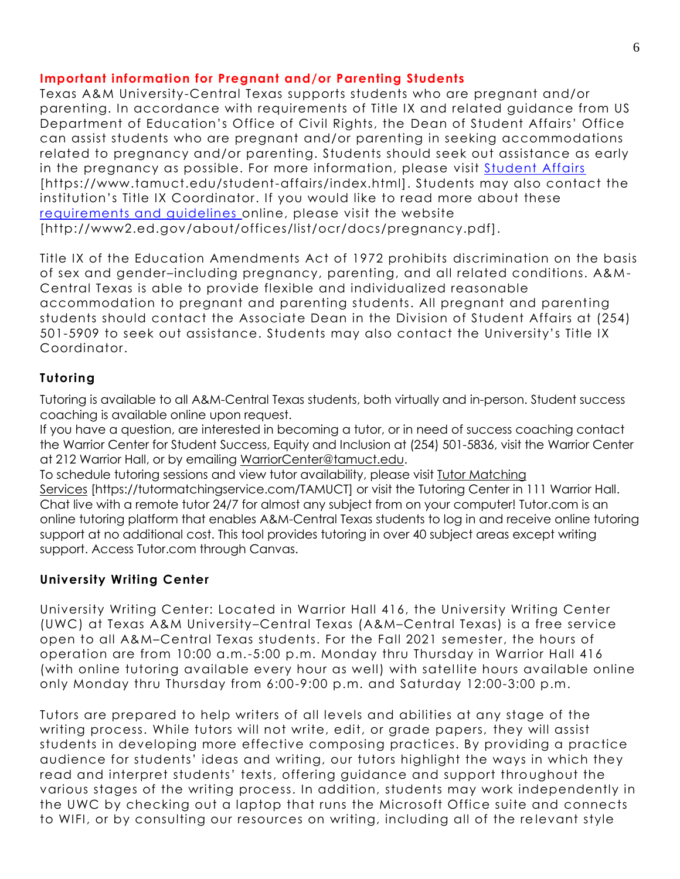# **Important information for Pregnant and/or Parenting Students**

Texas A&M University-Central Texas supports students who are pregnant and/or parenting. In accordance with requirements of Title IX and related guidance from US Department of Education's Office of Civil Rights, the Dean of Student Affairs' Office can assist students who are pregnant and/or parenting in seeking accommodations related to pregnancy and/or parenting. Students should seek out assistance as early in the pregnancy as possible. For more information, please visit [Student Affairs](https://www.tamuct.edu/student-affairs/index.html) [https://www.tamuct.edu/student-affairs/index.html]. Students may also contact the institution's Title IX Coordinator. If you would like to read more about these [requirements and guidelines](http://www2.ed.gov/about/offices/list/ocr/docs/pregnancy.pdf) online, please visit the website [http://www2.ed.gov/about/offices/list/ocr/docs/pregnancy.pdf].

Title IX of the Education Amendments Act of 1972 prohibits discrimination on the basis of sex and gender–including pregnancy, parenting, and all related conditions. A&M-Central Texas is able to provide flexible and individualized reasonable accommodation to pregnant and parenting students. All pregnant and parenting students should contact the Associate Dean in the Division of Student Affairs at (254) 501-5909 to seek out assistance. Students may also contact the University's Title IX Coordinator.

# **Tutoring**

Tutoring is available to all A&M-Central Texas students, both virtually and in-person. Student success coaching is available online upon request.

If you have a question, are interested in becoming a tutor, or in need of success coaching contact the Warrior Center for Student Success, Equity and Inclusion at (254) 501-5836, visit the Warrior Center at 212 Warrior Hall, or by emailing [WarriorCenter@tamuct.edu.](mailto:WarriorCenter@tamuct.edu)

To schedule tutoring sessions and view tutor availability, please visit Tutor [Matching](https://tutormatchingservice.com/TAMUCT) [Services](https://tutormatchingservice.com/TAMUCT) [https://tutormatchingservice.com/TAMUCT] or visit the Tutoring Center in 111 Warrior Hall. Chat live with a remote tutor 24/7 for almost any subject from on your computer! Tutor.com is an online tutoring platform that enables A&M-Central Texas students to log in and receive online tutoring support at no additional cost. This tool provides tutoring in over 40 subject areas except writing support. Access Tutor.com through Canvas.

# **University Writing Center**

University Writing Center: Located in Warrior Hall 416, the University Writing Center (UWC) at Texas A&M University–Central Texas (A&M–Central Texas) is a free service open to all A&M–Central Texas students. For the Fall 2021 semester, the hours of operation are from 10:00 a.m.-5:00 p.m. Monday thru Thursday in Warrior Hall 416 (with online tutoring available every hour as well) with satellite hours available online only Monday thru Thursday from 6:00-9:00 p.m. and Saturday 12:00-3:00 p.m.

Tutors are prepared to help writers of all levels and abilities at any stage of the writing process. While tutors will not write, edit, or grade papers, they will assist students in developing more effective composing practices. By providing a practice audience for students' ideas and writing, our tutors highlight the ways in which they read and interpret students' texts, offering guidance and support throughout the various stages of the writing process. In addition, students may work independently in the UWC by checking out a laptop that runs the Microsoft Office suite and connects to WIFI, or by consulting our resources on writing, including all of the re levant style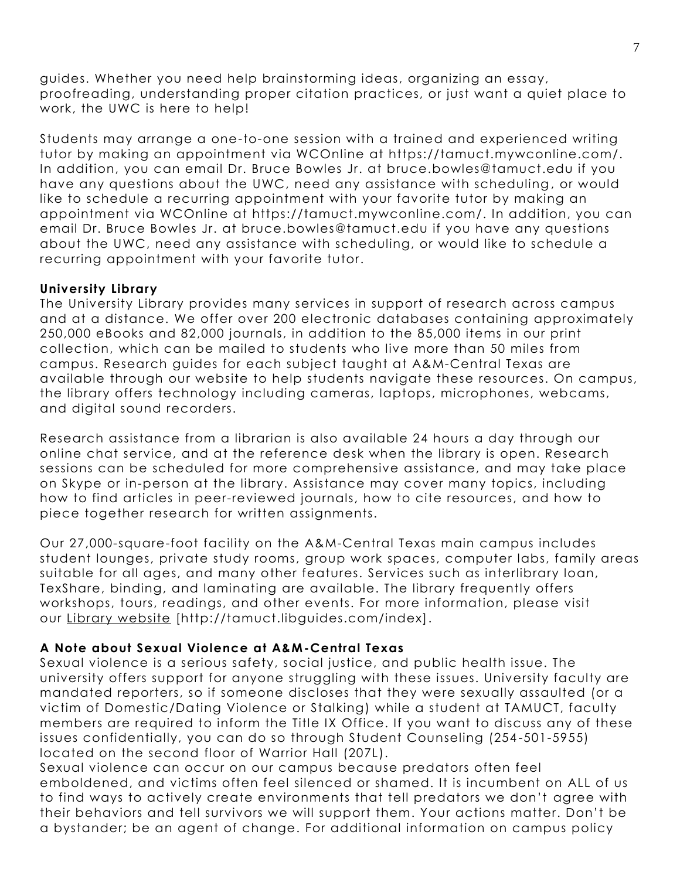guides. Whether you need help brainstorming ideas, organizing an essay, proofreading, understanding proper citation practices, or just want a quiet place to work, the UWC is here to help!

Students may arrange a one-to-one session with a trained and experienced writing tutor by making an appointment via WCOnline at https://tamuct.mywconline.com/. In addition, you can email Dr. Bruce Bowles Jr. at bruce.bowles@tamuct.edu if you have any questions about the UWC, need any assistance with scheduling , or would like to schedule a recurring appointment with your favorite tutor by making an appointment via WCOnline at https://tamuct.mywconline.com/. In addition, you can email Dr. Bruce Bowles Jr. at bruce.bowles@tamuct.edu if you have any questions about the UWC, need any assistance with scheduling, or would like to schedule a recurring appointment with your favorite tutor.

#### **University Library**

The University Library provides many services in support of research across campus and at a distance. We offer over 200 electronic databases containing approximately 250,000 eBooks and 82,000 journals, in addition to the 85,000 items in our print collection, which can be mailed to students who live more than 50 miles from campus. Research guides for each subject taught at A&M-Central Texas are available through our website to help students navigate these resources. On campus, the library offers technology including cameras, laptops, microphones, webcams, and digital sound recorders.

Research assistance from a librarian is also available 24 hours a day through our online chat service, and at the reference desk when the library is open. Research sessions can be scheduled for more comprehensive assistance, and may take place on Skype or in-person at the library. Assistance may cover many topics, including how to find articles in peer-reviewed journals, how to cite resources, and how to piece together research for written assignments.

Our 27,000-square-foot facility on the A&M-Central Texas main campus includes student lounges, private study rooms, group work spaces, computer labs, family areas suitable for all ages, and many other features. Services such as interlibrary loan, TexShare, binding, and laminating are available. The library frequently offers workshops, tours, readings, and other events. For more information, please visit our Library [website](https://tamuct.libguides.com/index) [http://tamuct.libguides.com/index].

# **A Note about Sexual Violence at A&M-Central Texas**

Sexual violence is a serious safety, social justice, and public health issue. The university offers support for anyone struggling with these issues. University faculty are mandated reporters, so if someone discloses that they were sexually assaulted (or a victim of Domestic/Dating Violence or Stalking) while a student at TAMUCT, faculty members are required to inform the Title IX Office. If you want to discuss any of these issues confidentially, you can do so through Student Counseling (254 -501-5955) located on the second floor of Warrior Hall (207L).

Sexual violence can occur on our campus because predators often feel emboldened, and victims often feel silenced or shamed. It is incumbent on ALL of us to find ways to actively create environments that tell predators we don't agree with their behaviors and tell survivors we will support them. Your actions matter. Don't be a bystander; be an agent of change. For additional information on campus policy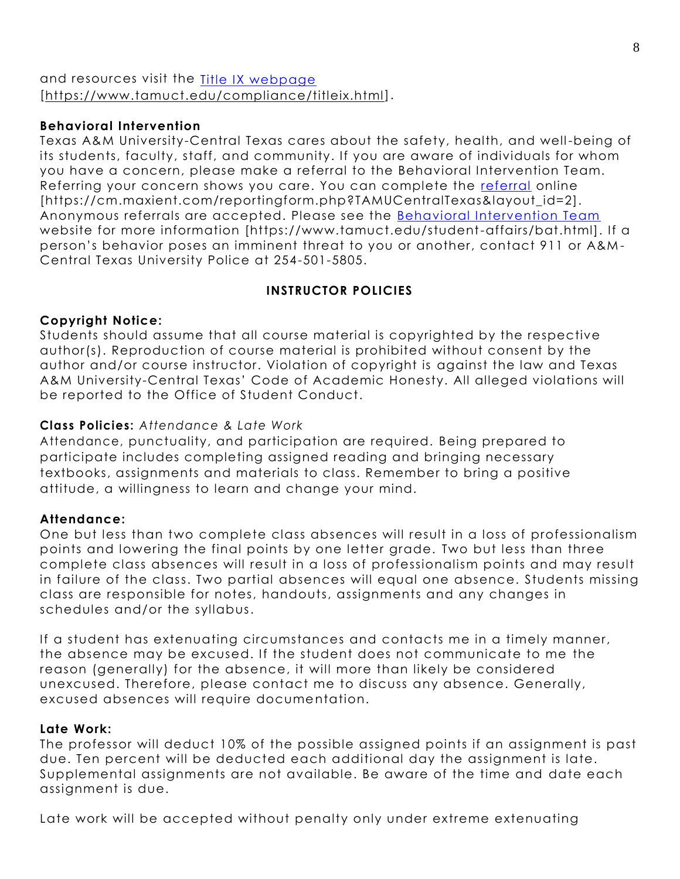# and resources visit the [Title IX webpage](https://www.tamuct.edu/compliance/titleix.html) [\[https://www.tamuct.edu/compliance/titleix.html\]](https://www.tamuct.edu/compliance/titleix.html).

# **Behavioral Intervention**

Texas A&M University-Central Texas cares about the safety, health, and well-being of its students, faculty, staff, and community. If you are aware of individuals for whom you have a concern, please make a referral to the Behavioral Intervention Team. Referring your concern shows you care. You can complete the [referral](https://cm.maxient.com/reportingform.php?TAMUCentralTexas&layout_id=2) online [https://cm.maxient.com/reportingform.php?TAMUCentralTexas&layout\_id=2]. Anonymous referrals are accepted. Please see the [Behavioral Intervention Team](https://www.tamuct.edu/student-affairs/bat.html) website for more information [https://www.tamuct.edu/student-affairs/bat.html]. If a person's behavior poses an imminent threat to you or another, contact 911 or A&M - Central Texas University Police at 254-501-5805.

# **INSTRUCTOR POLICIES**

# **Copyright Notice:**

Students should assume that all course material is copyrighted by the respective author(s). Reproduction of course material is prohibited without consent by the author and/or course instructor. Violation of copyright is against the law and Texas A&M University-Central Texas' Code of Academic Honesty. All alleged violations will be reported to the Office of Student Conduct.

# **Class Policies:** *Attendance & Late Work*

Attendance, punctuality, and participation are required. Being prepared to participate includes completing assigned reading and bringing necessary textbooks, assignments and materials to class. Remember to bring a positive attitude, a willingness to learn and change your mind.

# **Attendance:**

One but less than two complete class absences will result in a loss of professionalism points and lowering the final points by one letter grade. Two but less than three complete class absences will result in a loss of professionalism points and may result in failure of the class. Two partial absences will equal one absence. Students missing class are responsible for notes, handouts, assignments and any changes in schedules and/or the syllabus.

If a student has extenuating circumstances and contacts me in a timely manner, the absence may be excused. If the student does not communicate to me the reason (generally) for the absence, it will more than likely be considered unexcused. Therefore, please contact me to discuss any absence. Generally, excused absences will require documentation.

# **Late Work:**

The professor will deduct 10% of the possible assigned points if an assignment is past due. Ten percent will be deducted each additional day the assignment is late. Supplemental assignments are not available. Be aware of the time and date each assignment is due.

Late work will be accepted without penalty only under extreme extenuating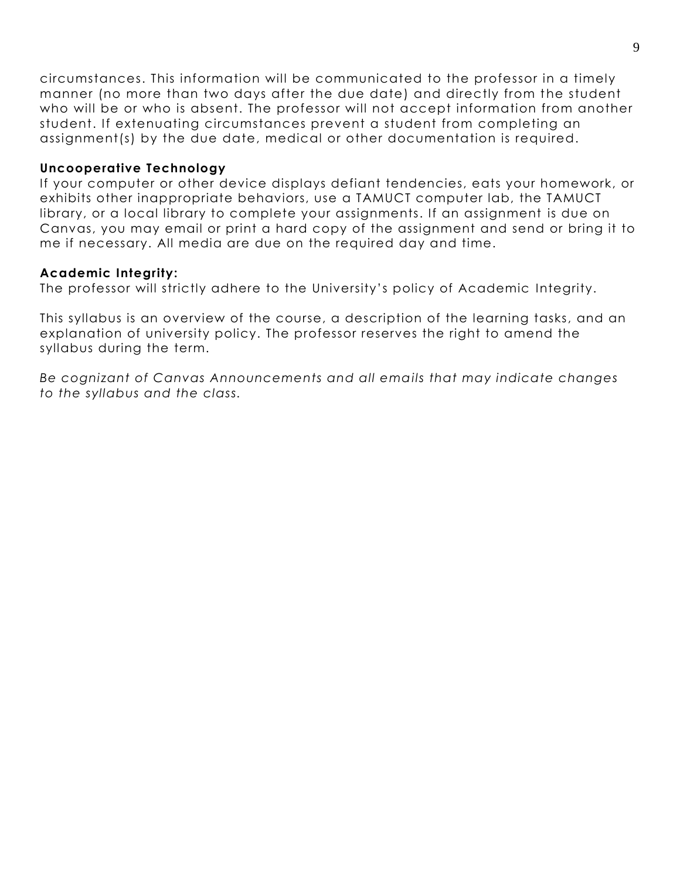circumstances. This information will be communicated to the professor in a timely manner (no more than two days after the due date) and directly from the student who will be or who is absent. The professor will not accept information from another student. If extenuating circumstances prevent a student from completing an assignment(s) by the due date, medical or other documentation is required.

#### **Uncooperative Technology**

If your computer or other device displays defiant tendencies, eats your homework, or exhibits other inappropriate behaviors, use a TAMUCT computer lab, the TAMUCT library, or a local library to complete your assignments. If an assignment is due on Canvas, you may email or print a hard copy of the assignment and send or bring it to me if necessary. All media are due on the required day and time.

#### **Academic Integrity:**

The professor will strictly adhere to the University's policy of Academic Integrity.

This syllabus is an overview of the course, a description of the learning tasks, and an explanation of university policy. The professor reserves the right to amend the syllabus during the term.

*Be cognizant of Canvas Announcements and all emails that may indicate changes to the syllabus and the class.*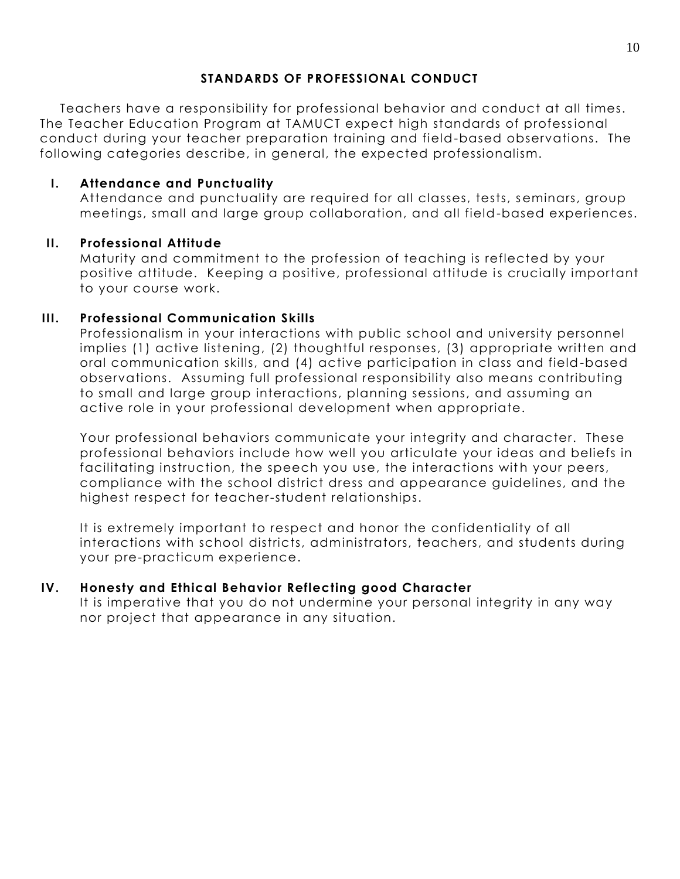# **STANDARDS OF PROFESSIONAL CONDUCT**

Teachers have a responsibility for professional behavior and conduct at all times. The Teacher Education Program at TAMUCT expect high standards of professional conduct during your teacher preparation training and field-based observations. The following categories describe, in general, the expected professionalism.

# **I. Attendance and Punctuality**

Attendance and punctuality are required for all classes, tests, seminars, group meetings, small and large group collaboration, and all field-based experiences.

# **II. Professional Attitude**

Maturity and commitment to the profession of teaching is reflected by your positive attitude. Keeping a positive, professional attitude is crucially important to your course work.

# **III. Professional Communication Skills**

Professionalism in your interactions with public school and university personnel implies (1) active listening, (2) thoughtful responses, (3) appropriate written and oral communication skills, and (4) active participation in class and field-based observations. Assuming full professional responsibility also means contributing to small and large group interactions, planning sessions, and assuming an active role in your professional development when appropriate.

Your professional behaviors communicate your integrity and character. These professional behaviors include how well you articulate your ideas and beliefs in facilitating instruction, the speech you use, the interactions with your peers, compliance with the school district dress and appearance guidelines, and the highest respect for teacher-student relationships.

It is extremely important to respect and honor the confidentiality of all interactions with school districts, administrators, teachers, and students during your pre-practicum experience.

# **IV. Honesty and Ethical Behavior Reflecting good Character**

It is imperative that you do not undermine your personal integrity in any way nor project that appearance in any situation.